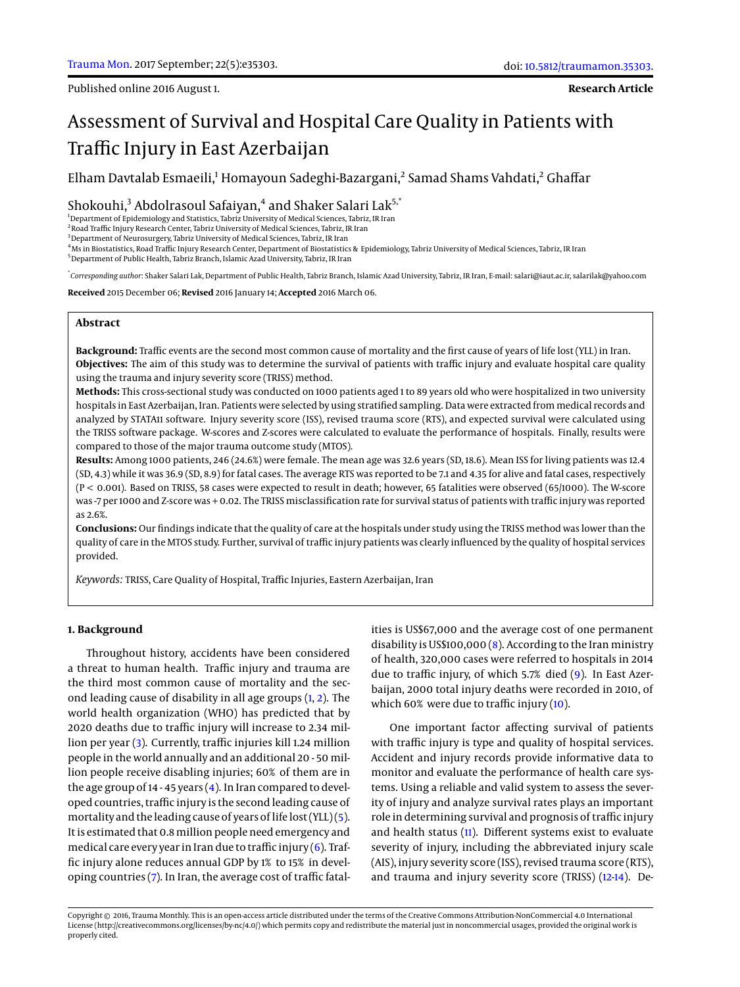**Research Article**

# Assessment of Survival and Hospital Care Quality in Patients with Traffic Injury in East Azerbaijan

Elham Davtalab Esmaeili,<sup>1</sup> Homayoun Sadeghi-Bazargani,<sup>2</sup> Samad Shams Vahdati,<sup>2</sup> Ghaffar

Shokouhi,<sup>3</sup> Abdolrasoul Safaiyan,<sup>4</sup> and Shaker Salari Lak<sup>5,\*</sup>

<sup>1</sup>Department of Epidemiology and Statistics, Tabriz University of Medical Sciences, Tabriz, IR Iran

<sup>2</sup> Road Traffic Injury Research Center, Tabriz University of Medical Sciences, Tabriz, IR Iran

<sup>3</sup> Department of Neurosurgery, Tabriz University of Medical Sciences, Tabriz, IR Iran

<sup>4</sup>Ms in Biostatistics, Road Traffic Injury Research Center, Department of Biostatistics & Epidemiology, Tabriz University of Medical Sciences, Tabriz, IR Iran

<sup>5</sup>Department of Public Health, Tabriz Branch, Islamic Azad University, Tabriz, IR Iran

\* *Corresponding author*: Shaker Salari Lak, Department of Public Health, Tabriz Branch, Islamic Azad University, Tabriz, IR Iran, E-mail: salari@iaut.ac.ir, salarilak@yahoo.com

**Received** 2015 December 06; **Revised** 2016 January 14; **Accepted** 2016 March 06.

# **Abstract**

**Background:** Traffic events are the second most common cause of mortality and the first cause of years of life lost (YLL) in Iran. **Objectives:** The aim of this study was to determine the survival of patients with traffic injury and evaluate hospital care quality using the trauma and injury severity score (TRISS) method.

**Methods:** This cross-sectional study was conducted on 1000 patients aged 1 to 89 years old who were hospitalized in two university hospitals in East Azerbaijan, Iran. Patients were selected by using stratified sampling. Data were extracted from medical records and analyzed by STATA11 software. Injury severity score (ISS), revised trauma score (RTS), and expected survival were calculated using the TRISS software package. W-scores and Z-scores were calculated to evaluate the performance of hospitals. Finally, results were compared to those of the major trauma outcome study (MTOS).

**Results:** Among 1000 patients, 246 (24.6%) were female. The mean age was 32.6 years (SD, 18.6). Mean ISS for living patients was 12.4 (SD, 4.3) while it was 36.9 (SD, 8.9) for fatal cases. The average RTS was reported to be 7.1 and 4.35 for alive and fatal cases, respectively (P < 0.001). Based on TRISS, 58 cases were expected to result in death; however, 65 fatalities were observed (65/1000). The W-score was -7 per 1000 and Z-score was + 0.02. The TRISS misclassification rate for survival status of patients with traffic injury was reported as 2.6%.

**Conclusions:** Our findings indicate that the quality of care at the hospitals under study using the TRISS method was lower than the quality of care in the MTOS study. Further, survival of traffic injury patients was clearly influenced by the quality of hospital services provided.

*Keywords:* TRISS, Care Quality of Hospital, Traffic Injuries, Eastern Azerbaijan, Iran

## **1. Background**

Throughout history, accidents have been considered a threat to human health. Traffic injury and trauma are the third most common cause of mortality and the second leading cause of disability in all age groups  $(1, 2)$  $(1, 2)$  $(1, 2)$ . The world health organization (WHO) has predicted that by 2020 deaths due to traffic injury will increase to 2.34 million per year [\(3\)](#page-4-2). Currently, traffic injuries kill 1.24 million people in the world annually and an additional 20 - 50 million people receive disabling injuries; 60% of them are in the age group of 14 - 45 years  $(4)$ . In Iran compared to developed countries, traffic injury is the second leading cause of mortality and the leading cause of years of life lost (YLL) [\(5\)](#page-4-4). It is estimated that 0.8 million people need emergency and medical care every year in Iran due to traffic injury  $(6)$ . Traffic injury alone reduces annual GDP by 1% to 15% in developing countries [\(7\)](#page-4-6). In Iran, the average cost of traffic fatalities is US\$67,000 and the average cost of one permanent disability is US\$100,000 [\(8\)](#page-4-7). According to the Iran ministry of health, 320,000 cases were referred to hospitals in 2014 due to traffic injury, of which 5.7% died [\(9\)](#page-4-8). In East Azerbaijan, 2000 total injury deaths were recorded in 2010, of which 60% were due to traffic injury [\(10\)](#page-4-9).

One important factor affecting survival of patients with traffic injury is type and quality of hospital services. Accident and injury records provide informative data to monitor and evaluate the performance of health care systems. Using a reliable and valid system to assess the severity of injury and analyze survival rates plays an important role in determining survival and prognosis of traffic injury and health status [\(11\)](#page-4-10). Different systems exist to evaluate severity of injury, including the abbreviated injury scale (AIS), injury severity score (ISS), revised trauma score (RTS), and trauma and injury severity score (TRISS) [\(12](#page-4-11)[-14\)](#page-4-12). De-

Copyright © 2016, Trauma Monthly. This is an open-access article distributed under the terms of the Creative Commons Attribution-NonCommercial 4.0 International License (http://creativecommons.org/licenses/by-nc/4.0/) which permits copy and redistribute the material just in noncommercial usages, provided the original work is properly cited.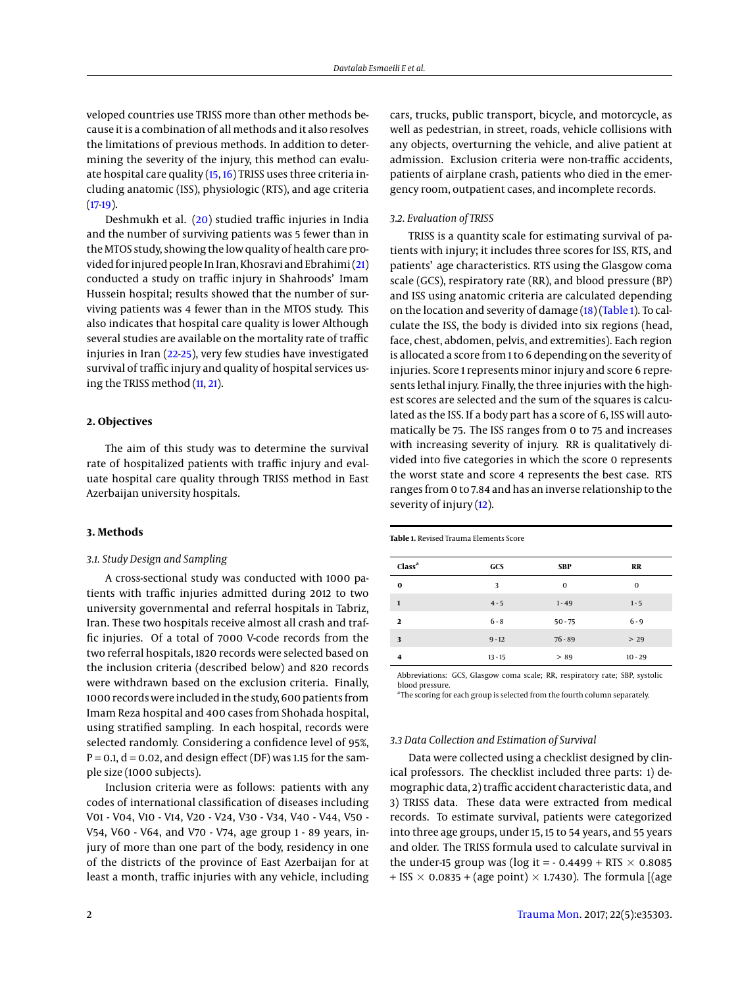veloped countries use TRISS more than other methods because it is a combination of all methods and it also resolves the limitations of previous methods. In addition to determining the severity of the injury, this method can evaluate hospital care quality [\(15,](#page-4-13) [16\)](#page-4-14) TRISS uses three criteria including anatomic (ISS), physiologic (RTS), and age criteria  $(17-19)$  $(17-19)$ .

Deshmukh et al. [\(20\)](#page-4-17) studied traffic injuries in India and the number of surviving patients was 5 fewer than in the MTOS study, showing the low quality of health care provided for injured people In Iran, Khosravi and Ebrahimi [\(21\)](#page-4-18) conducted a study on traffic injury in Shahroods' Imam Hussein hospital; results showed that the number of surviving patients was 4 fewer than in the MTOS study. This also indicates that hospital care quality is lower Although several studies are available on the mortality rate of traffic injuries in Iran [\(22-](#page-4-19)[25\)](#page-4-20), very few studies have investigated survival of traffic injury and quality of hospital services using the TRISS method [\(11,](#page-4-10) [21\)](#page-4-18).

# **2. Objectives**

The aim of this study was to determine the survival rate of hospitalized patients with traffic injury and evaluate hospital care quality through TRISS method in East Azerbaijan university hospitals.

#### **3. Methods**

## *3.1. Study Design and Sampling*

A cross-sectional study was conducted with 1000 patients with traffic injuries admitted during 2012 to two university governmental and referral hospitals in Tabriz, Iran. These two hospitals receive almost all crash and traffic injuries. Of a total of 7000 V-code records from the two referral hospitals, 1820 records were selected based on the inclusion criteria (described below) and 820 records were withdrawn based on the exclusion criteria. Finally, 1000 records were included in the study, 600 patients from Imam Reza hospital and 400 cases from Shohada hospital, using stratified sampling. In each hospital, records were selected randomly. Considering a confidence level of 95%,  $P = 0.1$ ,  $d = 0.02$ , and design effect (DF) was 1.15 for the sample size (1000 subjects).

Inclusion criteria were as follows: patients with any codes of international classification of diseases including V01 - V04, V10 - V14, V20 - V24, V30 - V34, V40 - V44, V50 - V54, V60 - V64, and V70 - V74, age group 1 - 89 years, injury of more than one part of the body, residency in one of the districts of the province of East Azerbaijan for at least a month, traffic injuries with any vehicle, including

cars, trucks, public transport, bicycle, and motorcycle, as well as pedestrian, in street, roads, vehicle collisions with any objects, overturning the vehicle, and alive patient at admission. Exclusion criteria were non-traffic accidents, patients of airplane crash, patients who died in the emergency room, outpatient cases, and incomplete records.

## *3.2. Evaluation of TRISS*

TRISS is a quantity scale for estimating survival of patients with injury; it includes three scores for ISS, RTS, and patients' age characteristics. RTS using the Glasgow coma scale (GCS), respiratory rate (RR), and blood pressure (BP) and ISS using anatomic criteria are calculated depending on the location and severity of damage [\(18\)](#page-4-21) [\(Table 1\)](#page-1-0). To calculate the ISS, the body is divided into six regions (head, face, chest, abdomen, pelvis, and extremities). Each region is allocated a score from 1 to 6 depending on the severity of injuries. Score 1 represents minor injury and score 6 represents lethal injury. Finally, the three injuries with the highest scores are selected and the sum of the squares is calculated as the ISS. If a body part has a score of 6, ISS will automatically be 75. The ISS ranges from 0 to 75 and increases with increasing severity of injury. RR is qualitatively divided into five categories in which the score 0 represents the worst state and score 4 represents the best case. RTS ranges from 0 to 7.84 and has an inverse relationship to the severity of injury [\(12\)](#page-4-11).

<span id="page-1-0"></span>**Table 1.** Revised Trauma Elements Score

| Class <sup>a</sup> | GCS       | <b>SBP</b>  | <b>RR</b>    |
|--------------------|-----------|-------------|--------------|
| $\bf{0}$           | 3         | $\mathbf 0$ | $\mathbf{0}$ |
| $\mathbf{1}$       | $4 - 5$   | $1 - 49$    | $1 - 5$      |
| $\mathbf{2}$       | $6 - 8$   | $50 - 75$   | $6 - 9$      |
| 3                  | $9 - 12$  | $76 - 89$   | > 29         |
| 4                  | $13 - 15$ | > 89        | $10 - 29$    |

Abbreviations: GCS, Glasgow coma scale; RR, respiratory rate; SBP, systolic blood pressure.

<sup>a</sup>The scoring for each group is selected from the fourth column separately

# *3.3 Data Collection and Estimation of Survival*

Data were collected using a checklist designed by clinical professors. The checklist included three parts: 1) demographic data, 2) traffic accident characteristic data, and 3) TRISS data. These data were extracted from medical records. To estimate survival, patients were categorized into three age groups, under 15, 15 to 54 years, and 55 years and older. The TRISS formula used to calculate survival in the under-15 group was (log it =  $-0.4499 + RTS \times 0.8085$ + ISS  $\times$  0.0835 + (age point)  $\times$  1.7430). The formula [(age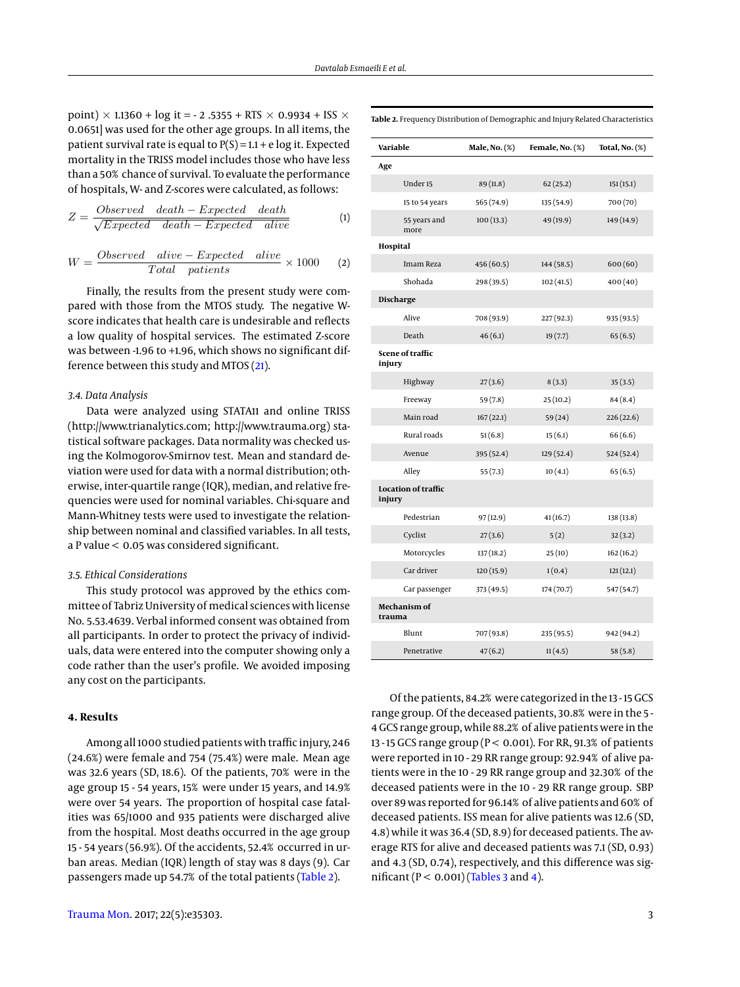point)  $\times$  1.1360 + log it = - 2 .5355 + RTS  $\times$  0.9934 + ISS  $\times$ 0.0651] was used for the other age groups. In all items, the patient survival rate is equal to  $P(S) = 1.1 + e \log it$ . Expected mortality in the TRISS model includes those who have less than a 50% chance of survival. To evaluate the performance of hospitals, W- and Z-scores were calculated, as follows:

$$
Z = \frac{Observed \quad death - Expected \quad death}{\sqrt{Expected \quad death - Expected \quad alive}} \tag{1}
$$

$$
W = \frac{Observed \quad alive - Expected \quad alive}{Total \quad patients} \times 1000 \tag{2}
$$

Finally, the results from the present study were compared with those from the MTOS study. The negative Wscore indicates that health care is undesirable and reflects a low quality of hospital services. The estimated Z-score was between -1.96 to +1.96, which shows no significant difference between this study and MTOS [\(21\)](#page-4-18).

#### *3.4. Data Analysis*

Data were analyzed using STATA11 and online TRISS (http://www.trianalytics.com; http://www.trauma.org) statistical software packages. Data normality was checked using the Kolmogorov-Smirnov test. Mean and standard deviation were used for data with a normal distribution; otherwise, inter-quartile range (IQR), median, and relative frequencies were used for nominal variables. Chi-square and Mann-Whitney tests were used to investigate the relationship between nominal and classified variables. In all tests, a P value < 0.05 was considered significant.

#### *3.5. Ethical Considerations*

This study protocol was approved by the ethics committee of Tabriz University of medical sciences with license No. 5.53.4639. Verbal informed consent was obtained from all participants. In order to protect the privacy of individuals, data were entered into the computer showing only a code rather than the user's profile. We avoided imposing any cost on the participants.

# **4. Results**

Among all 1000 studied patients with traffic injury, 246 (24.6%) were female and 754 (75.4%) were male. Mean age was 32.6 years (SD, 18.6). Of the patients, 70% were in the age group 15 - 54 years, 15% were under 15 years, and 14.9% were over 54 years. The proportion of hospital case fatalities was 65/1000 and 935 patients were discharged alive from the hospital. Most deaths occurred in the age group 15 - 54 years (56.9%). Of the accidents, 52.4% occurred in urban areas. Median (IQR) length of stay was 8 days (9). Car passengers made up 54.7% of the total patients [\(Table 2\)](#page-2-0).

| Variable                   |                      | Male, No. (%) | Female, No. (%) | Total, No. (%) |
|----------------------------|----------------------|---------------|-----------------|----------------|
| Age                        |                      |               |                 |                |
|                            | Under <sub>15</sub>  | 89 (11.8)     | 62(25.2)        | 151(15.1)      |
|                            | 15 to 54 years       | 565 (74.9)    | 135 (54.9)      | 700 (70)       |
|                            | 55 years and<br>more | 100(13.3)     | 49 (19.9)       | 149 (14.9)     |
| Hospital                   |                      |               |                 |                |
|                            | Imam Reza            | 456 (60.5)    | 144 (58.5)      | 600(60)        |
|                            | Shohada              | 298 (39.5)    | 102(41.5)       | 400(40)        |
| Discharge                  |                      |               |                 |                |
|                            | Alive                | 708 (93.9)    | 227 (92.3)      | 935 (93.5)     |
|                            | Death                | 46(6.1)       | 19(7.7)         | 65(6.5)        |
| Scene of traffic<br>injury |                      |               |                 |                |
|                            | Highway              | 27(3.6)       | 8(3.3)          | 35(3.5)        |
|                            | Freeway              | 59 (7.8)      | 25(10.2)        | 84(8.4)        |
|                            | Main road            | 167(22.1)     | 59 (24)         | 226(22.6)      |
|                            | Rural roads          | 51(6.8)       | 15(6.1)         | 66(6.6)        |
|                            | Avenue               | 395 (52.4)    | 129 (52.4)      | 524 (52.4)     |
|                            | Alley                | 55 (7.3)      | 10(4.1)         | 65(6.5)        |
| injury                     | Location of traffic  |               |                 |                |
|                            | Pedestrian           | 97(12.9)      | 41(16.7)        | 138 (13.8)     |
|                            | Cyclist              | 27(3.6)       | 5(2)            | 32(3.2)        |
|                            | Motorcycles          | 137(18.2)     | 25(10)          | 162(16.2)      |
|                            | Car driver           | 120 (15.9)    | 1(0.4)          | 121(12.1)      |
|                            | Car passenger        | 373 (49.5)    | 174 (70.7)      | 547 (54.7)     |
| trauma                     | Mechanism of         |               |                 |                |
|                            | Blunt                | 707 (93.8)    | 235 (95.5)      | 942 (94.2)     |
|                            | Penetrative          | 47(6.2)       | 11(4.5)         | 58(5.8)        |

Of the patients, 84.2% were categorized in the 13 - 15 GCS range group. Of the deceased patients, 30.8% were in the 5 - 4 GCS range group, while 88.2% of alive patients were in the 13 - 15 GCS range group (P < 0.001). For RR, 91.3% of patients were reported in 10 - 29 RR range group: 92.94% of alive patients were in the 10 - 29 RR range group and 32.30% of the deceased patients were in the 10 - 29 RR range group. SBP over 89 was reported for 96.14% of alive patients and 60% of deceased patients. ISS mean for alive patients was 12.6 (SD, 4.8) while it was 36.4 (SD, 8.9) for deceased patients. The average RTS for alive and deceased patients was 7.1 (SD, 0.93) and 4.3 (SD, 0.74), respectively, and this difference was significant ( $P < 0.001$ ) [\(Tables 3](#page-3-0) and [4\)](#page-3-1).

<span id="page-2-0"></span>**Table 2.** Frequency Distribution of Demographic and Injury Related Characteristics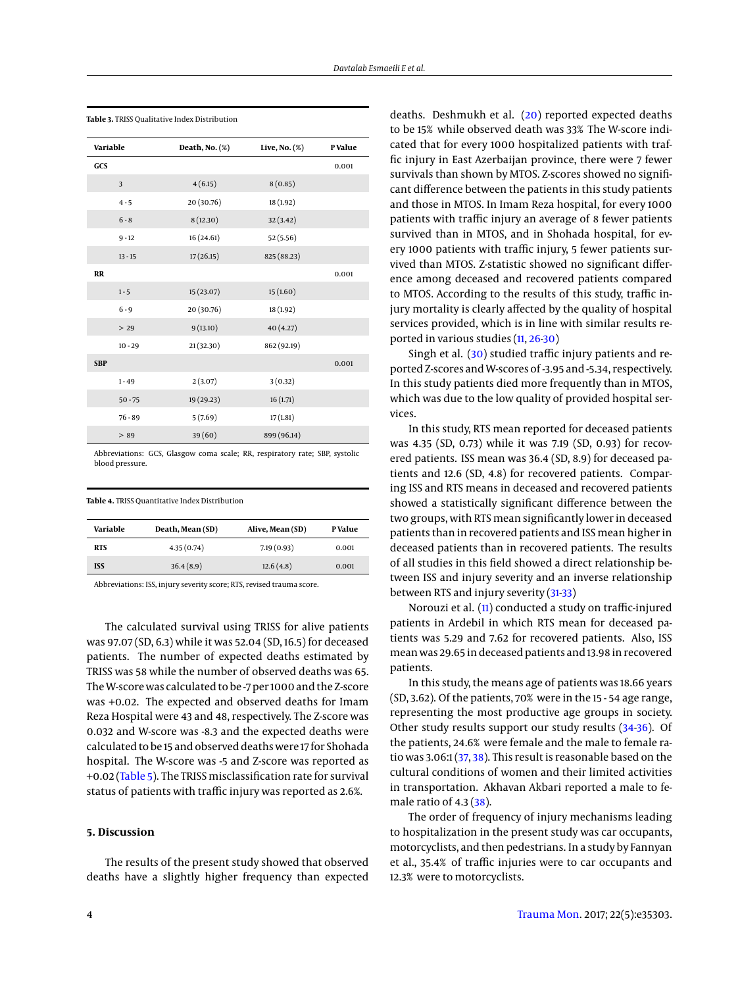| Variable   |           | Death, $No.$ $(\%)$ | Live, No. $(\%)$ | P Value |
|------------|-----------|---------------------|------------------|---------|
| GCS        |           |                     |                  | 0.001   |
|            | 3         | 4(6.15)             | 8(0.85)          |         |
|            | $4 - 5$   | 20 (30.76)          | 18 (1.92)        |         |
|            | $6 - 8$   | 8(12.30)            | 32 (3.42)        |         |
|            | $9 - 12$  | 16(24.61)           | 52(5.56)         |         |
|            | $13 - 15$ | 17(26.15)           | 825 (88.23)      |         |
| <b>RR</b>  |           |                     |                  | 0.001   |
|            | $1 - 5$   | 15 (23.07)          | 15(1.60)         |         |
|            | $6 - 9$   | 20 (30.76)          | 18 (1.92)        |         |
|            | > 29      | 9(13.10)            | 40(4.27)         |         |
|            | $10 - 29$ | 21 (32.30)          | 862 (92.19)      |         |
| <b>SBP</b> |           |                     |                  | 0.001   |
|            | $1 - 49$  | 2(3.07)             | 3(0.32)          |         |
|            | $50 - 75$ | 19 (29.23)          | 16(1.71)         |         |
|            | $76 - 89$ | 5(7.69)             | 17(1.81)         |         |
|            | > 89      | 39(60)              | 899 (96.14)      |         |

<span id="page-3-0"></span>**Table 3.** TRISS Qualitative Index Distribution

Abbreviations: GCS, Glasgow coma scale; RR, respiratory rate; SBP, systolic blood pressure.

<span id="page-3-1"></span>

|  | <b>Table 4.</b> TRISS Ouantitative Index Distribution |  |
|--|-------------------------------------------------------|--|
|  |                                                       |  |

| Variable   | Death, Mean (SD) | Alive, Mean (SD) | <b>PValue</b> |
|------------|------------------|------------------|---------------|
| <b>RTS</b> | 4.35(0.74)       | 7.19(0.93)       | 0.001         |
| <b>ISS</b> | 36.4(8.9)        | 12.6(4.8)        | 0.001         |
|            |                  |                  |               |

Abbreviations: ISS, injury severity score; RTS, revised trauma score.

The calculated survival using TRISS for alive patients was 97.07 (SD, 6.3) while it was 52.04 (SD, 16.5) for deceased patients. The number of expected deaths estimated by TRISS was 58 while the number of observed deaths was 65. TheW-score was calculated to be -7 per 1000 and the Z-score was +0.02. The expected and observed deaths for Imam Reza Hospital were 43 and 48, respectively. The Z-score was 0.032 and W-score was -8.3 and the expected deaths were calculated to be 15 and observed deaths were 17 for Shohada hospital. The W-score was -5 and Z-score was reported as +0.02 [\(Table 5\)](#page-4-22). The TRISS misclassification rate for survival status of patients with traffic injury was reported as 2.6%.

#### **5. Discussion**

The results of the present study showed that observed deaths have a slightly higher frequency than expected deaths. Deshmukh et al. [\(20\)](#page-4-17) reported expected deaths to be 15% while observed death was 33% The W-score indicated that for every 1000 hospitalized patients with traffic injury in East Azerbaijan province, there were 7 fewer survivals than shown by MTOS. Z-scores showed no significant difference between the patients in this study patients and those in MTOS. In Imam Reza hospital, for every 1000 patients with traffic injury an average of 8 fewer patients survived than in MTOS, and in Shohada hospital, for every 1000 patients with traffic injury, 5 fewer patients survived than MTOS. Z-statistic showed no significant difference among deceased and recovered patients compared to MTOS. According to the results of this study, traffic injury mortality is clearly affected by the quality of hospital services provided, which is in line with similar results reported in various studies [\(11,](#page-4-10) [26](#page-4-23)[-30\)](#page-5-0)

Singh et al. [\(30\)](#page-5-0) studied traffic injury patients and reported Z-scores andW-scores of -3.95 and -5.34, respectively. In this study patients died more frequently than in MTOS, which was due to the low quality of provided hospital services.

In this study, RTS mean reported for deceased patients was 4.35 (SD, 0.73) while it was 7.19 (SD, 0.93) for recovered patients. ISS mean was 36.4 (SD, 8.9) for deceased patients and 12.6 (SD, 4.8) for recovered patients. Comparing ISS and RTS means in deceased and recovered patients showed a statistically significant difference between the two groups, with RTS mean significantly lower in deceased patients than in recovered patients and ISS mean higher in deceased patients than in recovered patients. The results of all studies in this field showed a direct relationship between ISS and injury severity and an inverse relationship between RTS and injury severity [\(31](#page-5-1)[-33\)](#page-5-2)

Norouzi et al. [\(11\)](#page-4-10) conducted a study on traffic-injured patients in Ardebil in which RTS mean for deceased patients was 5.29 and 7.62 for recovered patients. Also, ISS mean was 29.65 in deceased patients and 13.98 in recovered patients.

In this study, the means age of patients was 18.66 years (SD, 3.62). Of the patients, 70% were in the 15 - 54 age range, representing the most productive age groups in society. Other study results support our study results [\(34](#page-5-3)[-36\)](#page-5-4). Of the patients, 24.6% were female and the male to female ratio was 3.06:1 [\(37,](#page-5-5) [38\)](#page-5-6). This result is reasonable based on the cultural conditions of women and their limited activities in transportation. Akhavan Akbari reported a male to female ratio of 4.3 [\(38\)](#page-5-6).

The order of frequency of injury mechanisms leading to hospitalization in the present study was car occupants, motorcyclists, and then pedestrians. In a study by Fannyan et al., 35.4% of traffic injuries were to car occupants and 12.3% were to motorcyclists.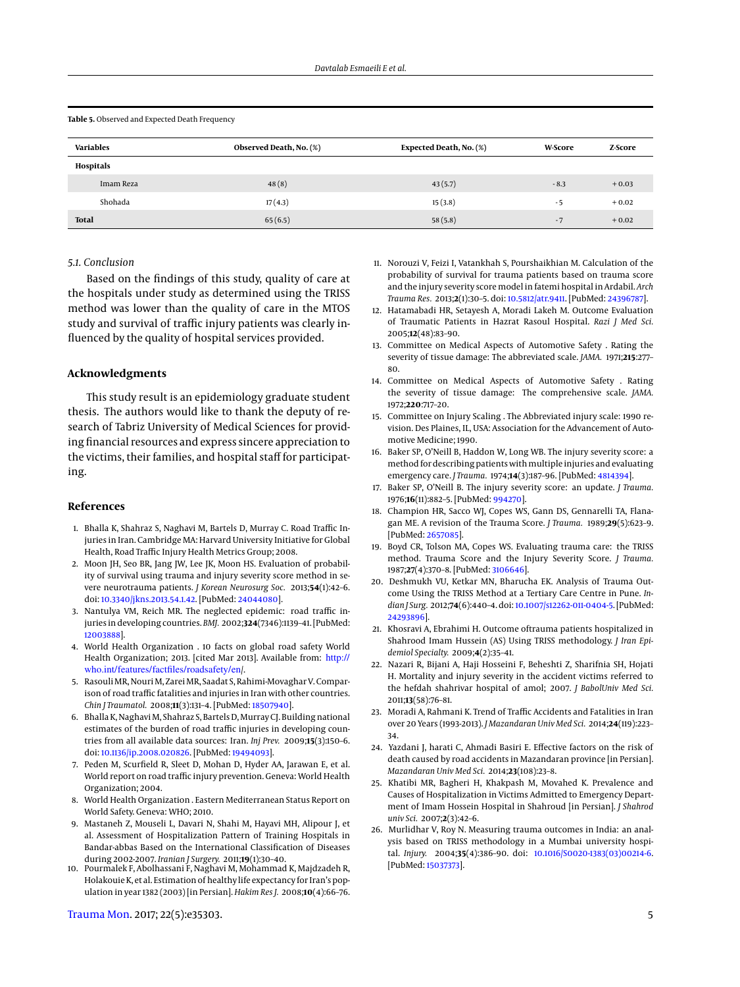<span id="page-4-22"></span>Table 5. Observed and Expected Death Frequency

| <b>Variables</b> | Observed Death, No. (%) | Expected Death, No. (%) | <b>W-Score</b> | Z-Score |
|------------------|-------------------------|-------------------------|----------------|---------|
| Hospitals        |                         |                         |                |         |
| Imam Reza        | 48(8)                   | 43(5.7)                 | $-8.3$         | $+0.03$ |
| Shohada          | 17(4.3)                 | 15(3.8)                 | - 5            | $+0.02$ |
| <b>Total</b>     | 65(6.5)                 | 58(5.8)                 | $-7$           | $+0.02$ |

## *5.1. Conclusion*

Based on the findings of this study, quality of care at the hospitals under study as determined using the TRISS method was lower than the quality of care in the MTOS study and survival of traffic injury patients was clearly influenced by the quality of hospital services provided.

# **Acknowledgments**

This study result is an epidemiology graduate student thesis. The authors would like to thank the deputy of research of Tabriz University of Medical Sciences for providing financial resources and express sincere appreciation to the victims, their families, and hospital staff for participating.

#### **References**

- <span id="page-4-0"></span>1. Bhalla K, Shahraz S, Naghavi M, Bartels D, Murray C. Road Traffic Injuries in Iran. Cambridge MA: Harvard University Initiative for Global Health, Road Traffic Injury Health Metrics Group; 2008.
- <span id="page-4-1"></span>2. Moon JH, Seo BR, Jang JW, Lee JK, Moon HS. Evaluation of probability of survival using trauma and injury severity score method in severe neurotrauma patients. *J Korean Neurosurg Soc.* 2013;**54**(1):42–6. doi: [10.3340/jkns.2013.54.1.42.](http://dx.doi.org/10.3340/jkns.2013.54.1.42) [PubMed: [24044080\]](http://www.ncbi.nlm.nih.gov/pubmed/24044080).
- <span id="page-4-2"></span>3. Nantulya VM, Reich MR. The neglected epidemic: road traffic injuries in developing countries. *BMJ.* 2002;**324**(7346):1139–41. [PubMed: [12003888\]](http://www.ncbi.nlm.nih.gov/pubmed/12003888).
- <span id="page-4-3"></span>4. World Health Organization . 10 facts on global road safety World Health Organization; 2013. [cited Mar 2013]. Available from: [http://](http://who.int/features/factfiles/roadsafety/en) [who.int/features/factfiles/roadsafety/en](http://who.int/features/factfiles/roadsafety/en)/.
- <span id="page-4-4"></span>5. Rasouli MR, Nouri M, Zarei MR, Saadat S, Rahimi-Movaghar V. Comparison of road traffic fatalities and injuries in Iran with other countries. *Chin J Traumatol.* 2008;**11**(3):131–4. [PubMed: [18507940\]](http://www.ncbi.nlm.nih.gov/pubmed/18507940).
- <span id="page-4-5"></span>6. Bhalla K, Naghavi M, Shahraz S, Bartels D, Murray CJ. Building national estimates of the burden of road traffic injuries in developing countries from all available data sources: Iran. *Inj Prev.* 2009;**15**(3):150–6. doi: [10.1136/ip.2008.020826.](http://dx.doi.org/10.1136/ip.2008.020826) [PubMed: [19494093\]](http://www.ncbi.nlm.nih.gov/pubmed/19494093).
- <span id="page-4-6"></span>7. Peden M, Scurfield R, Sleet D, Mohan D, Hyder AA, Jarawan E, et al. World report on road traffic injury prevention. Geneva: World Health Organization; 2004.
- <span id="page-4-7"></span>8. World Health Organization . Eastern Mediterranean Status Report on World Safety. Geneva: WHO; 2010.
- <span id="page-4-8"></span>9. Mastaneh Z, Mouseli L, Davari N, Shahi M, Hayavi MH, Alipour J, et al. Assessment of Hospitalization Pattern of Training Hospitals in Bandar-abbas Based on the International Classification of Diseases during 2002-2007. *Iranian J Surgery.* 2011;**19**(1):30–40.
- <span id="page-4-9"></span>10. Pourmalek F, Abolhassani F, Naghavi M, Mohammad K, Majdzadeh R, Holakouie K, et al. Estimation of healthy life expectancy for Iran's population in year 1382 (2003) [in Persian]. *Hakim Res J.* 2008;**10**(4):66–76.

[Trauma Mon.](http://traumamon.com) 2017; 22(5):e35303. 5

- <span id="page-4-10"></span>11. Norouzi V, Feizi I, Vatankhah S, Pourshaikhian M. Calculation of the probability of survival for trauma patients based on trauma score and the injury severity score model in fatemi hospital in Ardabil. *Arch Trauma Res.* 2013;**2**(1):30–5. doi: [10.5812/atr.9411.](http://dx.doi.org/10.5812/atr.9411) [PubMed: [24396787\]](http://www.ncbi.nlm.nih.gov/pubmed/24396787).
- <span id="page-4-11"></span>12. Hatamabadi HR, Setayesh A, Moradi Lakeh M. Outcome Evaluation of Traumatic Patients in Hazrat Rasoul Hospital. *Razi J Med Sci.* 2005;**12**(48):83–90.
- 13. Committee on Medical Aspects of Automotive Safety . Rating the severity of tissue damage: The abbreviated scale. *JAMA.* 1971;**215**:277– 80.
- <span id="page-4-12"></span>14. Committee on Medical Aspects of Automotive Safety . Rating the severity of tissue damage: The comprehensive scale. *JAMA.* 1972;**220**:717–20.
- <span id="page-4-13"></span>15. Committee on Injury Scaling . The Abbreviated injury scale: 1990 revision. Des Plaines, IL, USA: Association for the Advancement of Automotive Medicine; 1990.
- <span id="page-4-14"></span>16. Baker SP, O'Neill B, Haddon W, Long WB. The injury severity score: a method for describing patients with multiple injuries and evaluating emergency care. *J Trauma.* 1974;**14**(3):187–96. [PubMed: [4814394\]](http://www.ncbi.nlm.nih.gov/pubmed/4814394).
- <span id="page-4-15"></span>17. Baker SP, O'Neill B. The injury severity score: an update. *J Trauma.* 1976;**16**(11):882–5. [PubMed: [994270\]](http://www.ncbi.nlm.nih.gov/pubmed/994270).
- <span id="page-4-21"></span>18. Champion HR, Sacco WJ, Copes WS, Gann DS, Gennarelli TA, Flanagan ME. A revision of the Trauma Score. *J Trauma.* 1989;**29**(5):623–9. [PubMed: [2657085\]](http://www.ncbi.nlm.nih.gov/pubmed/2657085).
- <span id="page-4-16"></span>19. Boyd CR, Tolson MA, Copes WS. Evaluating trauma care: the TRISS method. Trauma Score and the Injury Severity Score. *J Trauma.* 1987;**27**(4):370–8. [PubMed: [3106646\]](http://www.ncbi.nlm.nih.gov/pubmed/3106646).
- <span id="page-4-17"></span>20. Deshmukh VU, Ketkar MN, Bharucha EK. Analysis of Trauma Outcome Using the TRISS Method at a Tertiary Care Centre in Pune. *Indian J Surg.* 2012;**74**(6):440–4. doi: [10.1007/s12262-011-0404-5.](http://dx.doi.org/10.1007/s12262-011-0404-5) [PubMed: [24293896\]](http://www.ncbi.nlm.nih.gov/pubmed/24293896).
- <span id="page-4-18"></span>21. Khosravi A, Ebrahimi H. Outcome oftrauma patients hospitalized in Shahrood Imam Hussein (AS) Using TRISS methodology. *J Iran Epidemiol Specialty.* 2009;**4**(2):35–41.
- <span id="page-4-19"></span>22. Nazari R, Bijani A, Haji Hosseini F, Beheshti Z, Sharifnia SH, Hojati H. Mortality and injury severity in the accident victims referred to the hefdah shahrivar hospital of amol; 2007. *J BabolUniv Med Sci.* 2011;**13**(58):76–81.
- 23. Moradi A, Rahmani K. Trend of Traffic Accidents and Fatalities in Iran over 20 Years (1993-2013). *J Mazandaran Univ Med Sci.* 2014;**24**(119):223– 34.
- 24. Yazdani J, harati C, Ahmadi Basiri E. Effective factors on the risk of death caused by road accidents in Mazandaran province [in Persian]. *Mazandaran Univ Med Sci.* 2014;**23**(108):23–8.
- <span id="page-4-20"></span>25. Khatibi MR, Bagheri H, Khakpash M, Movahed K. Prevalence and Causes of Hospitalization in Victims Admitted to Emergency Department of Imam Hossein Hospital in Shahroud [in Persian]. *J Shahrod univ Sci.* 2007;**2**(3):42–6.
- <span id="page-4-23"></span>26. Murlidhar V, Roy N. Measuring trauma outcomes in India: an analysis based on TRISS methodology in a Mumbai university hospital. *Injury.* 2004;**35**(4):386–90. doi: [10.1016/S0020-1383\(03\)00214-6.](http://dx.doi.org/10.1016/S0020-1383(03)00214-6) [PubMed: [15037373\]](http://www.ncbi.nlm.nih.gov/pubmed/15037373).